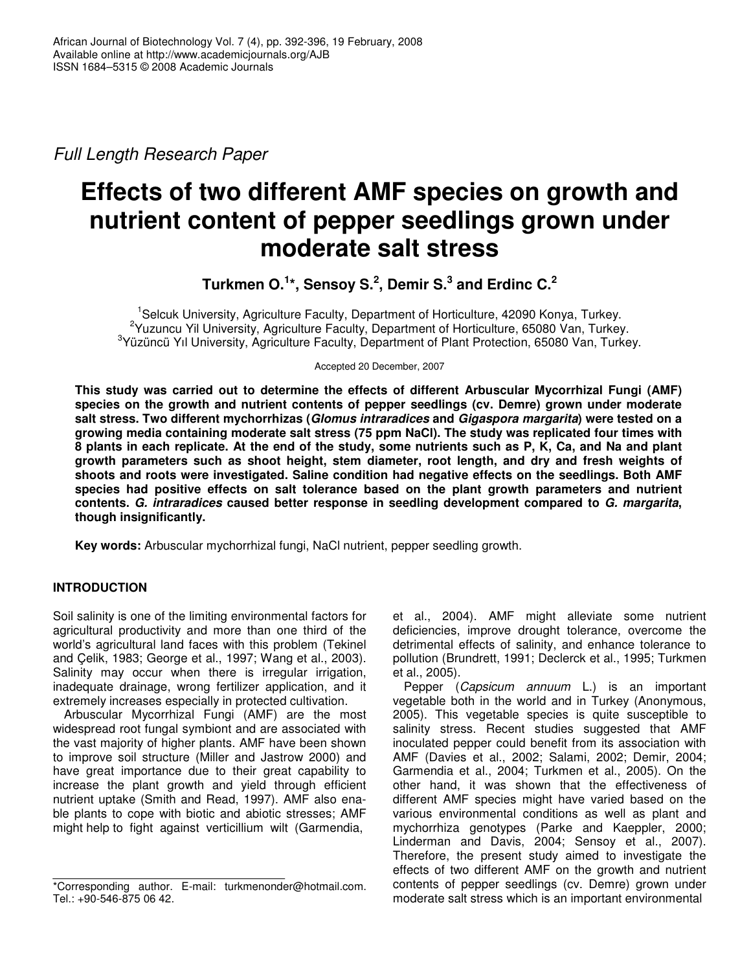*Full Length Research Paper*

# **Effects of two different AMF species on growth and nutrient content of pepper seedlings grown under moderate salt stress**

**Turkmen O. 1 \*, Sensoy S. 2 , Demir S. 3 and Erdinc C. 2**

<sup>1</sup>Selcuk University, Agriculture Faculty, Department of Horticulture, 42090 Konya, Turkey. <sup>2</sup>Yuzuncu Yil University, Agriculture Faculty, Department of Horticulture, 65080 Van, Turkey. <sup>3</sup>Yüzüncü Yıl University, Agriculture Faculty, Department of Plant Protection, 65080 Van, Turkey.

Accepted 20 December, 2007

**This study was carried out to determine the effects of different Arbuscular Mycorrhizal Fungi (AMF) species on the growth and nutrient contents of pepper seedlings (cv. Demre) grown under moderate salt stress. Two different mychorrhizas (***Glomus intraradices* **and** *Gigaspora margarita***) were tested on a growing media containing moderate salt stress (75 ppm NaCl). The study was replicated four times with** 8 plants in each replicate. At the end of the study, some nutrients such as P, K, Ca, and Na and plant **growth parameters such as shoot height, stem diameter, root length, and dry and fresh weights of shoots and roots were investigated. Saline condition had negative effects on the seedlings. Both AMF species had positive effects on salt tolerance based on the plant growth parameters and nutrient contents.** *G. intraradices* **caused better response in seedling development compared to** *G. margarita***, though insignificantly.**

**Key words:** Arbuscular mychorrhizal fungi, NaCl nutrient, pepper seedling growth.

# **INTRODUCTION**

Soil salinity is one of the limiting environmental factors for agricultural productivity and more than one third of the world's agricultural land faces with this problem (Tekinel and Çelik, 1983; George et al., 1997; Wang et al., 2003). Salinity may occur when there is irregular irrigation, inadequate drainage, wrong fertilizer application, and it extremely increases especially in protected cultivation.

Arbuscular Mycorrhizal Fungi (AMF) are the most widespread root fungal symbiont and are associated with the vast majority of higher plants. AMF have been shown to improve soil structure (Miller and Jastrow 2000) and have great importance due to their great capability to increase the plant growth and yield through efficient nutrient uptake (Smith and Read, 1997). AMF also enable plants to cope with biotic and abiotic stresses; AMF might help to fight against verticillium wilt (Garmendia,

et al., 2004). AMF might alleviate some nutrient deficiencies, improve drought tolerance, overcome the detrimental effects of salinity, and enhance tolerance to pollution (Brundrett, 1991; Declerck et al., 1995; Turkmen et al., 2005).

Pepper (*Capsicum annuum* L.) is an important vegetable both in the world and in Turkey (Anonymous, 2005). This vegetable species is quite susceptible to salinity stress. Recent studies suggested that AMF inoculated pepper could benefit from its association with AMF (Davies et al., 2002; Salami, 2002; Demir, 2004; Garmendia et al., 2004; Turkmen et al., 2005). On the other hand, it was shown that the effectiveness of different AMF species might have varied based on the various environmental conditions as well as plant and mychorrhiza genotypes (Parke and Kaeppler, 2000; Linderman and Davis, 2004; Sensoy et al., 2007). Therefore, the present study aimed to investigate the effects of two different AMF on the growth and nutrient contents of pepper seedlings (cv. Demre) grown under moderate salt stress which is an important environmental

<sup>\*</sup>Corresponding author. E-mail: turkmenonder@hotmail.com. Tel.: +90-546-875 06 42.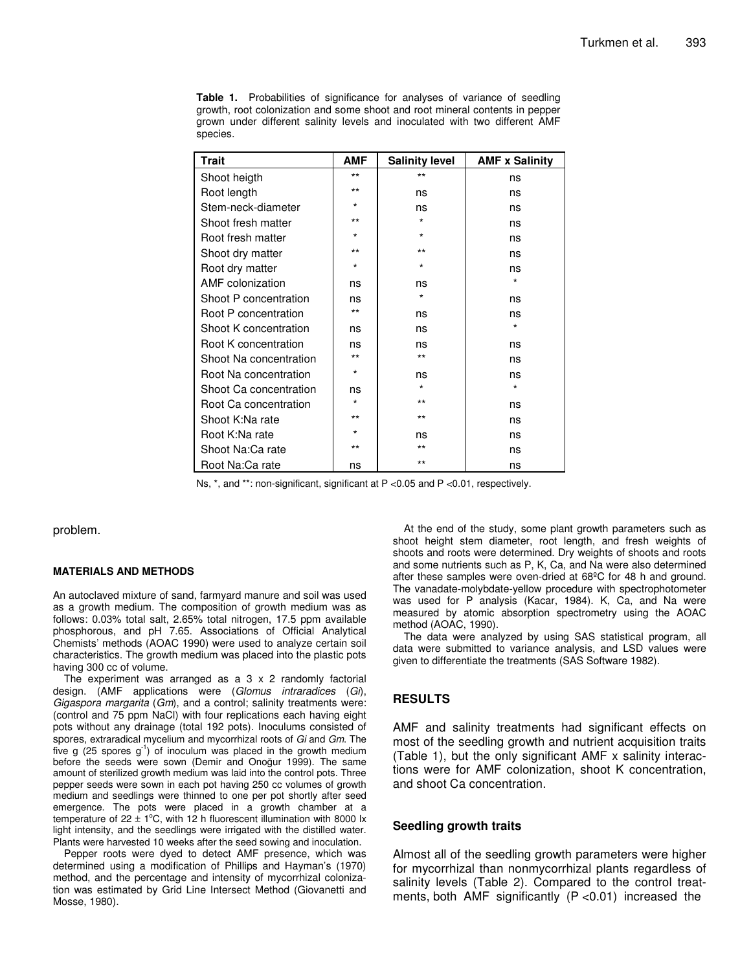**Table 1.** Probabilities of significance for analyses of variance of seedling growth, root colonization and some shoot and root mineral contents in pepper grown under different salinity levels and inoculated with two different AMF species.

| Trait                  | <b>AMF</b> | <b>Salinity level</b> | <b>AMF x Salinity</b> |
|------------------------|------------|-----------------------|-----------------------|
| Shoot heigth           | $***$      | $***$                 | ns                    |
| Root length            | $***$      | ns                    | ns                    |
| Stem-neck-diameter     | $^\star$   | ns                    | ns                    |
| Shoot fresh matter     | $***$      | $\star$               | ns                    |
| Root fresh matter      | $^\star$   | $\star$               | ns                    |
| Shoot dry matter       | $***$      | $***$                 | ns                    |
| Root dry matter        | $\star$    | *                     | ns                    |
| AMF colonization       | ns         | ns                    | $\star$               |
| Shoot P concentration  | ns         | $\star$               | ns                    |
| Root P concentration   | $***$      | ns                    | ns                    |
| Shoot K concentration  | ns         | ns                    | $\star$               |
| Root K concentration   | ns         | ns                    | ns                    |
| Shoot Na concentration | $***$      | $***$                 | ns                    |
| Root Na concentration  | $^\star$   | ns                    | ns                    |
| Shoot Ca concentration | ns         | $\star$               | $\star$               |
| Root Ca concentration  | $\star$    | $***$                 | ns                    |
| Shoot K:Na rate        | $***$      | $***$                 | ns                    |
| Root K:Na rate         | $\star$    | ns                    | ns                    |
| Shoot Na:Ca rate       | $***$      | $***$                 | ns                    |
| Root Na:Ca rate        | ns         | $***$                 | ns                    |

Ns, \*, and \*\*: non-significant, significant at P <0.05 and P <0.01, respectively.

problem.

#### **MATERIALS AND METHODS**

An autoclaved mixture of sand, farmyard manure and soil was used as a growth medium. The composition of growth medium was as follows: 0.03% total salt, 2.65% total nitrogen, 17.5 ppm available phosphorous, and pH 7.65. Associations of Official Analytical Chemists' methods (AOAC 1990) were used to analyze certain soil characteristics. The growth medium was placed into the plastic pots having 300 cc of volume.

The experiment was arranged as a 3 x 2 randomly factorial design. (AMF applications were (*Glomus intraradices* (*Gi*), *Gigaspora margarita* (*Gm*), and a control; salinity treatments were: (control and 75 ppm NaCl) with four replications each having eight pots without any drainage (total 192 pots). Inoculums consisted of spores, extraradical mycelium and mycorrhizal roots of *Gi* and *Gm*. The five g (25 spores  $g^{-1}$ ) of inoculum was placed in the growth medium before the seeds were sown (Demir and Onoğur 1999). The same amount of sterilized growth medium was laid into the control pots. Three pepper seeds were sown in each pot having 250 cc volumes of growth medium and seedlings were thinned to one per pot shortly after seed emergence. The pots were placed in a growth chamber at a temperature of  $22 \pm 1$ °C, with 12 h fluorescent illumination with 8000 lx light intensity, and the seedlings were irrigated with the distilled water. Plants were harvested 10 weeks after the seed sowing and inoculation.

Pepper roots were dyed to detect AMF presence, which was determined using a modification of Phillips and Hayman's (1970) method, and the percentage and intensity of mycorrhizal colonization was estimated by Grid Line Intersect Method (Giovanetti and Mosse, 1980).

At the end of the study, some plant growth parameters such as shoot height stem diameter, root length, and fresh weights of shoots and roots were determined. Dry weights of shoots and roots and some nutrients such as P, K, Ca, and Na were also determined after these samples were oven-dried at 68ºC for 48 h and ground. The vanadate-molybdate-yellow procedure with spectrophotometer was used for P analysis (Kacar, 1984). K, Ca, and Na were measured by atomic absorption spectrometry using the AOAC method (AOAC, 1990).

The data were analyzed by using SAS statistical program, all data were submitted to variance analysis, and LSD values were given to differentiate the treatments (SAS Software 1982).

#### **RESULTS**

AMF and salinity treatments had significant effects on most of the seedling growth and nutrient acquisition traits (Table 1), but the only significant AMF x salinity interactions were for AMF colonization, shoot K concentration, and shoot Ca concentration.

#### **Seedling growth traits**

Almost all of the seedling growth parameters were higher for mycorrhizal than nonmycorrhizal plants regardless of salinity levels (Table 2). Compared to the control treatments, both AMF significantly  $(P < 0.01)$  increased the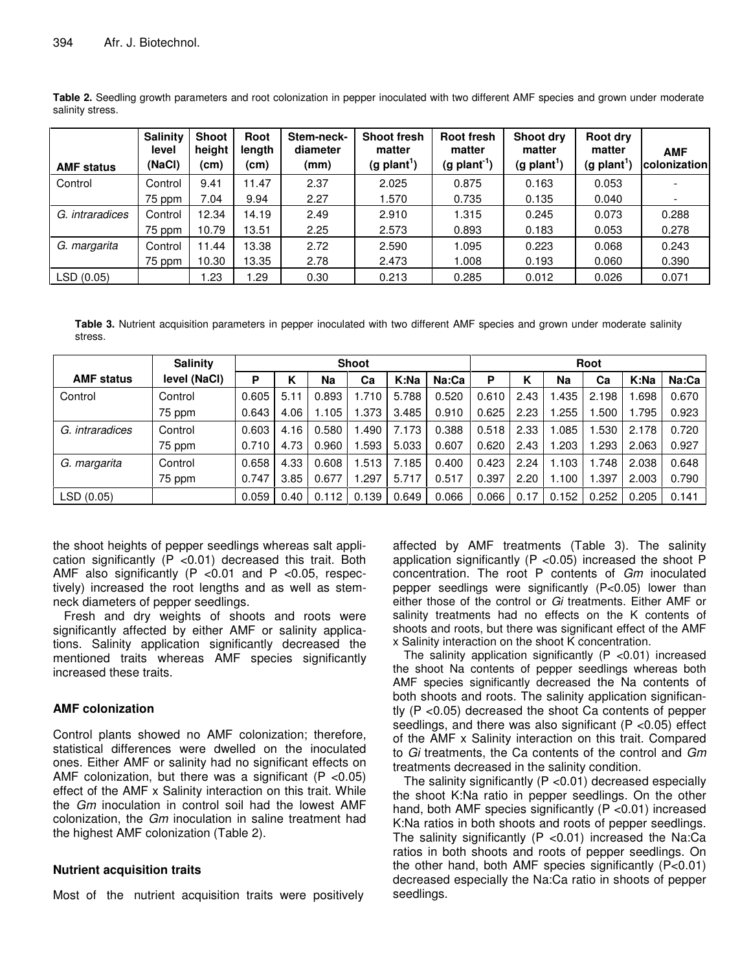| <b>AMF status</b> | <b>Salinity</b><br>level<br>(NaCl) | <b>Shoot</b><br>height<br>(cm) | Root<br>length<br>(cm) | Stem-neck-<br>diameter<br>(mm) | <b>Shoot fresh</b><br>matter<br>$(g$ plant <sup>1</sup> ) | Root fresh<br>matter<br>$(g$ plant <sup>-1</sup> ) | Shoot dry<br>matter<br>$(g$ plant <sup>1</sup> ) | Root dry<br>matter<br>$(g$ plant <sup>1</sup> ) | <b>AMF</b><br>colonization |
|-------------------|------------------------------------|--------------------------------|------------------------|--------------------------------|-----------------------------------------------------------|----------------------------------------------------|--------------------------------------------------|-------------------------------------------------|----------------------------|
| Control           | Control                            | 9.41                           | 11.47                  | 2.37                           | 2.025                                                     | 0.875                                              | 0.163                                            | 0.053                                           |                            |
|                   | 75 ppm                             | 7.04                           | 9.94                   | 2.27                           | 1.570                                                     | 0.735                                              | 0.135                                            | 0.040                                           |                            |
| G. intraradices   | Control                            | 12.34                          | 14.19                  | 2.49                           | 2.910                                                     | 1.315                                              | 0.245                                            | 0.073                                           | 0.288                      |
|                   | 75 ppm                             | 10.79                          | 13.51                  | 2.25                           | 2.573                                                     | 0.893                                              | 0.183                                            | 0.053                                           | 0.278                      |
| G. margarita      | Control                            | 11.44                          | 13.38                  | 2.72                           | 2.590                                                     | 1.095                                              | 0.223                                            | 0.068                                           | 0.243                      |
|                   | 75 ppm                             | 10.30                          | 13.35                  | 2.78                           | 2.473                                                     | 1.008                                              | 0.193                                            | 0.060                                           | 0.390                      |
| LSD(0.05)         |                                    | .23                            | .29                    | 0.30                           | 0.213                                                     | 0.285                                              | 0.012                                            | 0.026                                           | 0.071                      |

**Table 2.** Seedling growth parameters and root colonization in pepper inoculated with two different AMF species and grown under moderate salinity stress.

**Table 3.** Nutrient acquisition parameters in pepper inoculated with two different AMF species and grown under moderate salinity stress.

|                   | <b>Salinity</b> | <b>Shoot</b> |      |       |       |       |       | Root  |      |       |        |       |       |
|-------------------|-----------------|--------------|------|-------|-------|-------|-------|-------|------|-------|--------|-------|-------|
| <b>AMF status</b> | level (NaCl)    | P            | κ    | Na    | Ca    | K:Na  | Na:Ca | P     | Κ    | Na    | Сa     | K:Na  | Na:Ca |
| Control           | Control         | 0.605        | 5.1  | 0.893 | 1.710 | 5.788 | 0.520 | 0.610 | 2.43 | .435  | 2.198  | .698  | 0.670 |
|                   | 75 ppm          | 0.643        | 4.06 | .105  | .373  | 3.485 | 0.910 | 0.625 | 2.23 | .255  | .500   | 1.795 | 0.923 |
| G. intraradices   | Control         | 0.603        | 4.16 | 0.580 | .490  | 7.173 | 0.388 | 0.518 | 2.33 | .085  | .530   | 2.178 | 0.720 |
|                   | 75 ppm          | 0.710        | 4.73 | 0.960 | .593  | 5.033 | 0.607 | 0.620 | 2.43 | .203  | .293   | 2.063 | 0.927 |
| G. margarita      | Control         | 0.658        | 4.33 | 0.608 | .513  | 7.185 | 0.400 | 0.423 | 2.24 | 1.103 | 1.748  | 2.038 | 0.648 |
|                   | 75 ppm          | 0.747        | 3.85 | 0.677 | .297  | 5.717 | 0.517 | 0.397 | 2.20 | 1.100 | . .397 | 2.003 | 0.790 |
| LSD(0.05)         |                 | 0.059        | 0.40 | 0.112 | 0.139 | 0.649 | 0.066 | 0.066 | 0.17 | 0.152 | 0.252  | 0.205 | 0.141 |

the shoot heights of pepper seedlings whereas salt application significantly (P <0.01) decreased this trait. Both AMF also significantly (P <0.01 and P <0.05, respectively) increased the root lengths and as well as stemneck diameters of pepper seedlings.

Fresh and dry weights of shoots and roots were significantly affected by either AMF or salinity applications. Salinity application significantly decreased the mentioned traits whereas AMF species significantly increased these traits.

### **AMF colonization**

Control plants showed no AMF colonization; therefore, statistical differences were dwelled on the inoculated ones. Either AMF or salinity had no significant effects on AMF colonization, but there was a significant ( $P < 0.05$ ) effect of the AMF x Salinity interaction on this trait. While the *Gm* inoculation in control soil had the lowest AMF colonization, the *Gm* inoculation in saline treatment had the highest AMF colonization (Table 2).

# **Nutrient acquisition traits**

Most of the nutrient acquisition traits were positively

affected by AMF treatments (Table 3). The salinity application significantly (P <0.05) increased the shoot P concentration. The root P contents of *Gm* inoculated pepper seedlings were significantly (P<0.05) lower than either those of the control or *Gi* treatments. Either AMF or salinity treatments had no effects on the K contents of shoots and roots, but there was significant effect of the AMF x Salinity interaction on the shoot K concentration.

The salinity application significantly  $(P < 0.01)$  increased the shoot Na contents of pepper seedlings whereas both AMF species significantly decreased the Na contents of both shoots and roots. The salinity application significantly (P <0.05) decreased the shoot Ca contents of pepper seedlings, and there was also significant  $(P \lt 0.05)$  effect of the AMF x Salinity interaction on this trait. Compared to *Gi* treatments, the Ca contents of the control and *Gm* treatments decreased in the salinity condition.

The salinity significantly (P <0.01) decreased especially the shoot K:Na ratio in pepper seedlings. On the other hand, both AMF species significantly (P < 0.01) increased K:Na ratios in both shoots and roots of pepper seedlings. The salinity significantly  $(P < 0.01)$  increased the Na:Ca ratios in both shoots and roots of pepper seedlings. On the other hand, both AMF species significantly (P<0.01) decreased especially the Na:Ca ratio in shoots of pepper seedlings.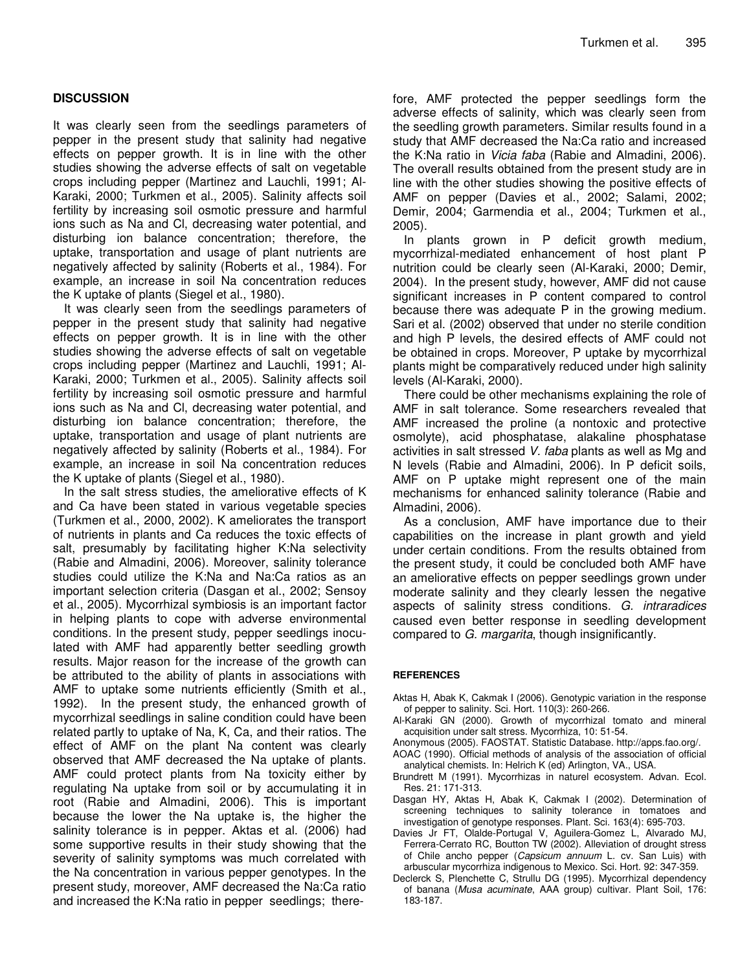## **DISCUSSION**

It was clearly seen from the seedlings parameters of pepper in the present study that salinity had negative effects on pepper growth. It is in line with the other studies showing the adverse effects of salt on vegetable crops including pepper (Martinez and Lauchli, 1991; Al-Karaki, 2000; Turkmen et al., 2005). Salinity affects soil fertility by increasing soil osmotic pressure and harmful ions such as Na and Cl, decreasing water potential, and disturbing ion balance concentration; therefore, the uptake, transportation and usage of plant nutrients are negatively affected by salinity (Roberts et al., 1984). For example, an increase in soil Na concentration reduces the K uptake of plants (Siegel et al., 1980).

It was clearly seen from the seedlings parameters of pepper in the present study that salinity had negative effects on pepper growth. It is in line with the other studies showing the adverse effects of salt on vegetable crops including pepper (Martinez and Lauchli, 1991; Al-Karaki, 2000; Turkmen et al., 2005). Salinity affects soil fertility by increasing soil osmotic pressure and harmful ions such as Na and Cl, decreasing water potential, and disturbing ion balance concentration; therefore, the uptake, transportation and usage of plant nutrients are negatively affected by salinity (Roberts et al., 1984). For example, an increase in soil Na concentration reduces the K uptake of plants (Siegel et al., 1980).

In the salt stress studies, the ameliorative effects of K and Ca have been stated in various vegetable species (Turkmen et al., 2000, 2002). K ameliorates the transport of nutrients in plants and Ca reduces the toxic effects of salt, presumably by facilitating higher K:Na selectivity (Rabie and Almadini, 2006). Moreover, salinity tolerance studies could utilize the K:Na and Na:Ca ratios as an important selection criteria (Dasgan et al., 2002; Sensoy et al., 2005). Mycorrhizal symbiosis is an important factor in helping plants to cope with adverse environmental conditions. In the present study, pepper seedlings inoculated with AMF had apparently better seedling growth results. Major reason for the increase of the growth can be attributed to the ability of plants in associations with AMF to uptake some nutrients efficiently (Smith et al., 1992). In the present study, the enhanced growth of mycorrhizal seedlings in saline condition could have been related partly to uptake of Na, K, Ca, and their ratios. The effect of AMF on the plant Na content was clearly observed that AMF decreased the Na uptake of plants. AMF could protect plants from Na toxicity either by regulating Na uptake from soil or by accumulating it in root (Rabie and Almadini, 2006). This is important because the lower the Na uptake is, the higher the salinity tolerance is in pepper. Aktas et al. (2006) had some supportive results in their study showing that the severity of salinity symptoms was much correlated with the Na concentration in various pepper genotypes. In the present study, moreover, AMF decreased the Na:Ca ratio and increased the K:Na ratio in pepper seedlings; therefore, AMF protected the pepper seedlings form the adverse effects of salinity, which was clearly seen from the seedling growth parameters. Similar results found in a study that AMF decreased the Na:Ca ratio and increased the K:Na ratio in *Vicia faba* (Rabie and Almadini, 2006). The overall results obtained from the present study are in line with the other studies showing the positive effects of AMF on pepper (Davies et al., 2002; Salami, 2002; Demir, 2004; Garmendia et al., 2004; Turkmen et al., 2005).

In plants grown in P deficit growth medium, mycorrhizal-mediated enhancement of host plant P nutrition could be clearly seen (Al-Karaki, 2000; Demir, 2004). In the present study, however, AMF did not cause significant increases in P content compared to control because there was adequate P in the growing medium. Sari et al. (2002) observed that under no sterile condition and high P levels, the desired effects of AMF could not be obtained in crops. Moreover, P uptake by mycorrhizal plants might be comparatively reduced under high salinity levels (Al-Karaki, 2000).

There could be other mechanisms explaining the role of AMF in salt tolerance. Some researchers revealed that AMF increased the proline (a nontoxic and protective osmolyte), acid phosphatase, alakaline phosphatase activities in salt stressed *V. faba* plants as well as Mg and N levels (Rabie and Almadini, 2006). In P deficit soils, AMF on P uptake might represent one of the main mechanisms for enhanced salinity tolerance (Rabie and Almadini, 2006).

As a conclusion, AMF have importance due to their capabilities on the increase in plant growth and yield under certain conditions. From the results obtained from the present study, it could be concluded both AMF have an ameliorative effects on pepper seedlings grown under moderate salinity and they clearly lessen the negative aspects of salinity stress conditions. *G. intraradices* caused even better response in seedling development compared to *G. margarita*, though insignificantly.

#### **REFERENCES**

- Aktas H, Abak K, Cakmak I (2006). Genotypic variation in the response of pepper to salinity. Sci. Hort. 110(3): 260-266.
- Al-Karaki GN (2000). Growth of mycorrhizal tomato and mineral acquisition under salt stress. Mycorrhiza, 10: 51-54.
- Anonymous (2005). FAOSTAT. Statistic Database. http://apps.fao.org/.
- AOAC (1990). Official methods of analysis of the association of official analytical chemists. In: Helrich K (ed) Arlington, VA., USA.
- Brundrett M (1991). Mycorrhizas in naturel ecosystem. Advan. Ecol. Res. 21: 171-313.
- Dasgan HY, Aktas H, Abak K, Cakmak I (2002). Determination of screening techniques to salinity tolerance in tomatoes and investigation of genotype responses. Plant. Sci. 163(4): 695-703.
- Davies Jr FT, Olalde-Portugal V, Aguilera-Gomez L, Alvarado MJ, Ferrera-Cerrato RC, Boutton TW (2002). Alleviation of drought stress of Chile ancho pepper (*Capsicum annuum* L. cv. San Luis) with arbuscular mycorrhiza indigenous to Mexico. Sci. Hort. 92: 347-359.
- Declerck S, Plenchette C, Strullu DG (1995). Mycorrhizal dependency of banana (*Musa acuminate*, AAA group) cultivar. Plant Soil, 176: 183-187.